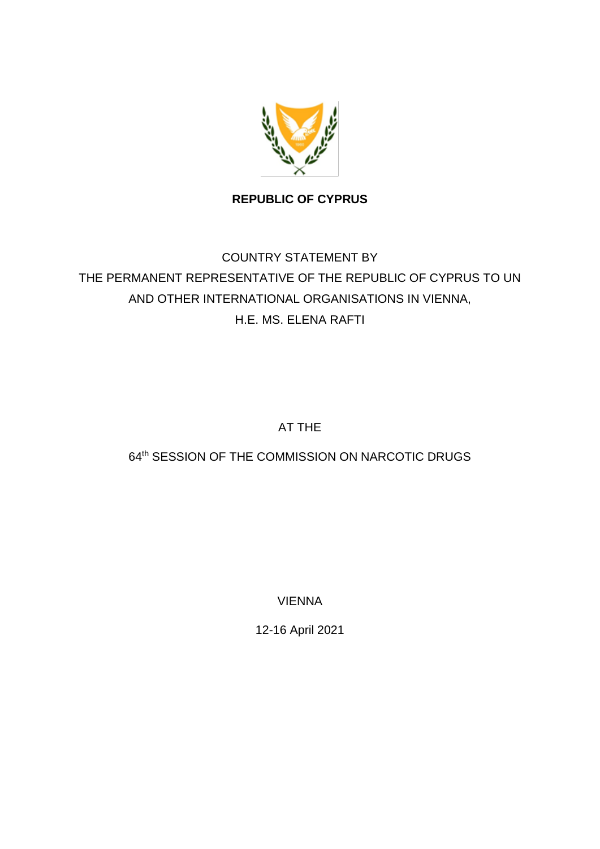

**REPUBLIC OF CYPRUS**

## COUNTRY STATEMENT BY THE PERMANENT REPRESENTATIVE OF THE REPUBLIC OF CYPRUS TO UN AND OTHER INTERNATIONAL ORGANISATIONS IN VIENNA, H.E. MS. ELENA RAFTI

AT THE

## 64<sup>th</sup> SESSION OF THE COMMISSION ON NARCOTIC DRUGS

VIENNA

12-16 April 2021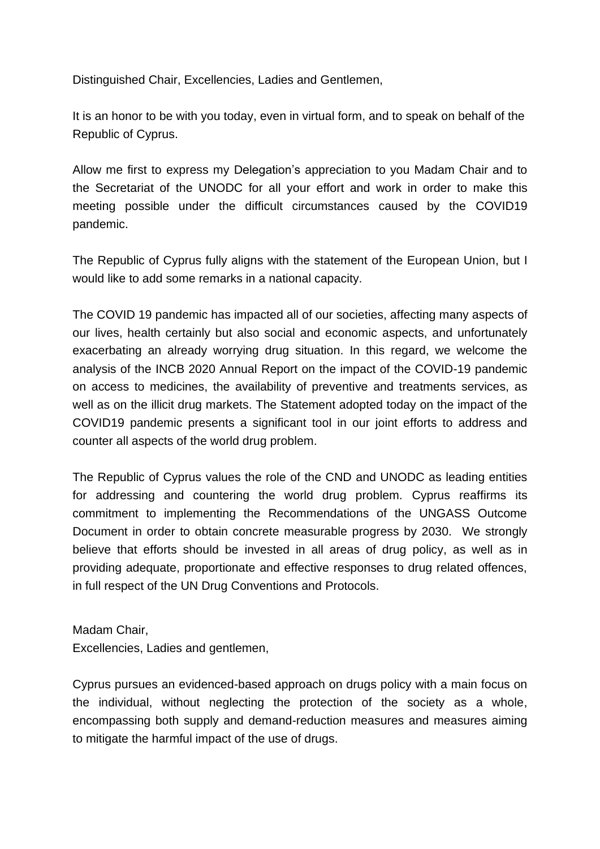Distinguished Chair, Excellencies, Ladies and Gentlemen,

It is an honor to be with you today, even in virtual form, and to speak on behalf of the Republic of Cyprus.

Allow me first to express my Delegation's appreciation to you Madam Chair and to the Secretariat of the UNODC for all your effort and work in order to make this meeting possible under the difficult circumstances caused by the COVID19 pandemic.

The Republic of Cyprus fully aligns with the statement of the European Union, but I would like to add some remarks in a national capacity.

The COVID 19 pandemic has impacted all of our societies, affecting many aspects of our lives, health certainly but also social and economic aspects, and unfortunately exacerbating an already worrying drug situation. In this regard, we welcome the analysis of the INCB 2020 Annual Report on the impact of the COVID-19 pandemic on access to medicines, the availability of preventive and treatments services, as well as on the illicit drug markets. The Statement adopted today on the impact of the COVID19 pandemic presents a significant tool in our joint efforts to address and counter all aspects of the world drug problem.

The Republic of Cyprus values the role of the CND and UNODC as leading entities for addressing and countering the world drug problem. Cyprus reaffirms its commitment to implementing the Recommendations of the UNGASS Outcome Document in order to obtain concrete measurable progress by 2030. We strongly believe that efforts should be invested in all areas of drug policy, as well as in providing adequate, proportionate and effective responses to drug related offences, in full respect of the UN Drug Conventions and Protocols.

Madam Chair, Excellencies, Ladies and gentlemen,

Cyprus pursues an evidenced-based approach on drugs policy with a main focus on the individual, without neglecting the protection of the society as a whole, encompassing both supply and demand-reduction measures and measures aiming to mitigate the harmful impact of the use of drugs.